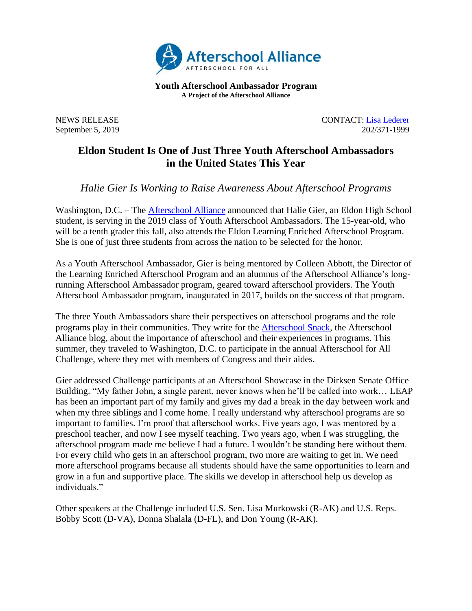

**Youth Afterschool Ambassador Program A Project of the Afterschool Alliance**

NEWS RELEASE CONTACT: [Lisa](mailto:lisa@prsolutionsdc.com?subject=2017-18%20Ambassador:%20) [Lederer](mailto:lisa@prsolutionsdc.com) September 5, 2019 202/371-1999

## **Eldon Student Is One of Just Three Youth Afterschool Ambassadors in the United States This Year**

*Halie Gier Is Working to Raise Awareness About Afterschool Programs*

Washington, D.C. – The **Afterschool Alliance** announced that Halie Gier, an Eldon High School student, is serving in the 2019 class of Youth Afterschool Ambassadors. The 15-year-old, who will be a tenth grader this fall, also attends the Eldon Learning Enriched Afterschool Program. She is one of just three students from across the nation to be selected for the honor.

As a Youth Afterschool Ambassador, Gier is being mentored by Colleen Abbott, the Director of the Learning Enriched Afterschool Program and an alumnus of the Afterschool Alliance's longrunning Afterschool Ambassador program, geared toward afterschool providers. The Youth Afterschool Ambassador program, inaugurated in 2017, builds on the success of that program.

The three Youth Ambassadors share their perspectives on afterschool programs and the role programs play in their communities. They write for the [Afterschool Snack,](http://www.afterschoolalliance.org/afterschoolsnack/ASnack.cfm) the Afterschool Alliance blog, about the importance of afterschool and their experiences in programs. This summer, they traveled to Washington, D.C. to participate in the annual Afterschool for All Challenge, where they met with members of Congress and their aides.

Gier addressed Challenge participants at an Afterschool Showcase in the Dirksen Senate Office Building. "My father John, a single parent, never knows when he'll be called into work… LEAP has been an important part of my family and gives my dad a break in the day between work and when my three siblings and I come home. I really understand why afterschool programs are so important to families. I'm proof that afterschool works. Five years ago, I was mentored by a preschool teacher, and now I see myself teaching. Two years ago, when I was struggling, the afterschool program made me believe I had a future. I wouldn't be standing here without them. For every child who gets in an afterschool program, two more are waiting to get in. We need more afterschool programs because all students should have the same opportunities to learn and grow in a fun and supportive place. The skills we develop in afterschool help us develop as individuals."

Other speakers at the Challenge included U.S. Sen. Lisa Murkowski (R-AK) and U.S. Reps. Bobby Scott (D-VA), Donna Shalala (D-FL), and Don Young (R-AK).